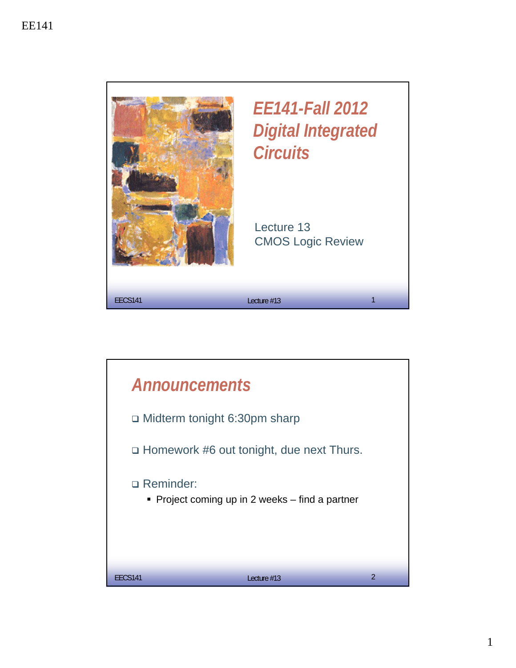

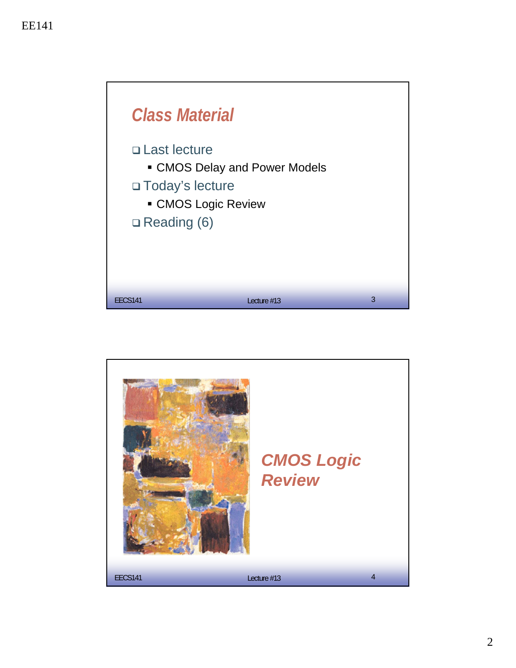

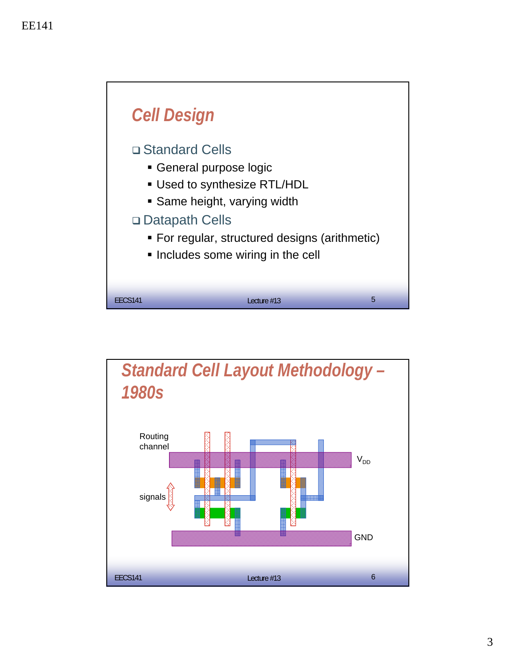

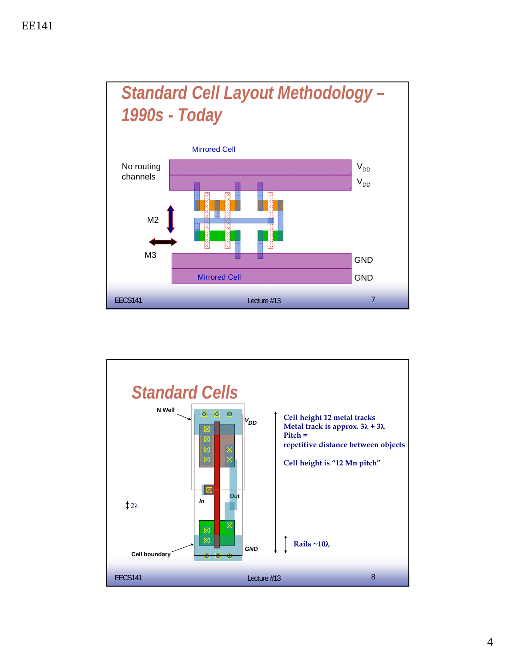

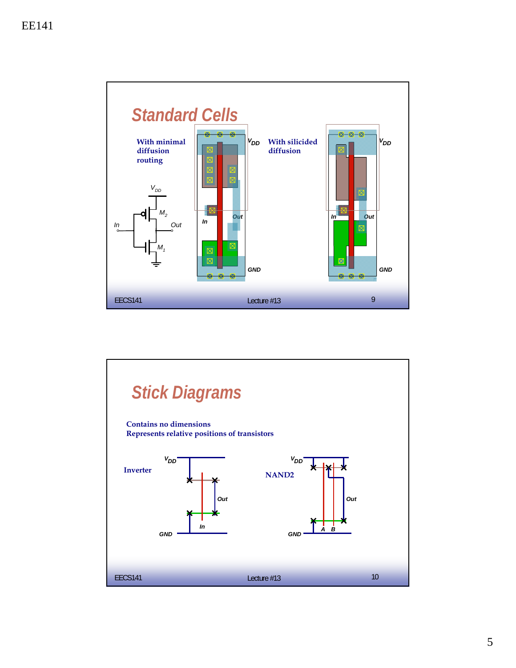

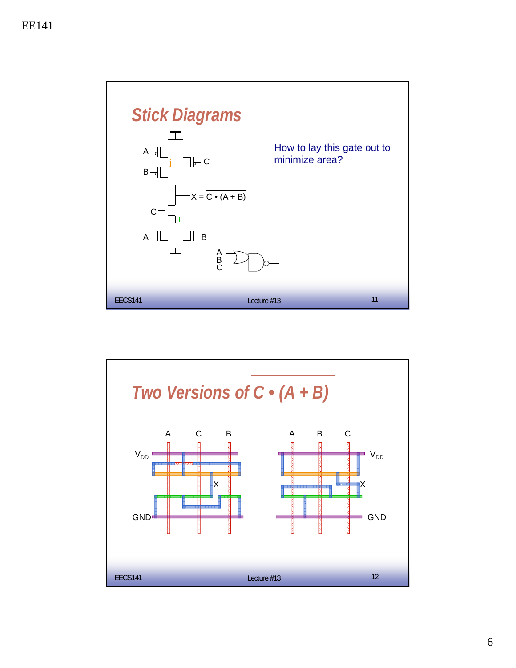

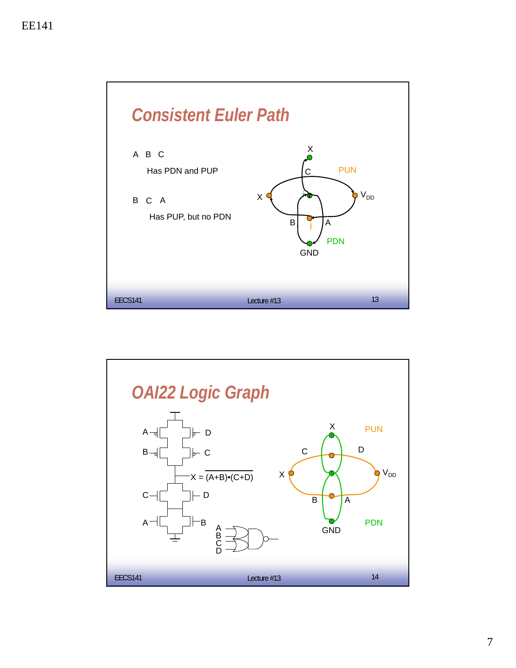

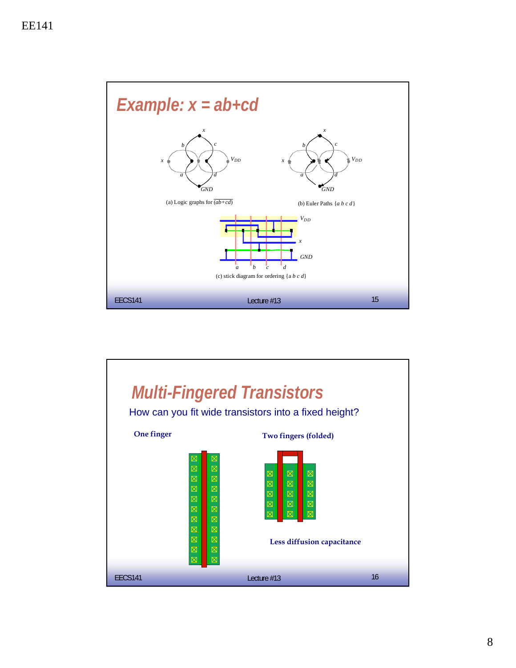

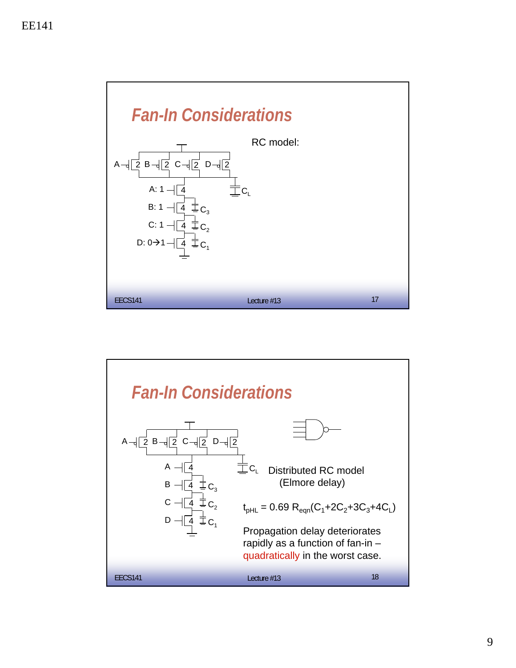

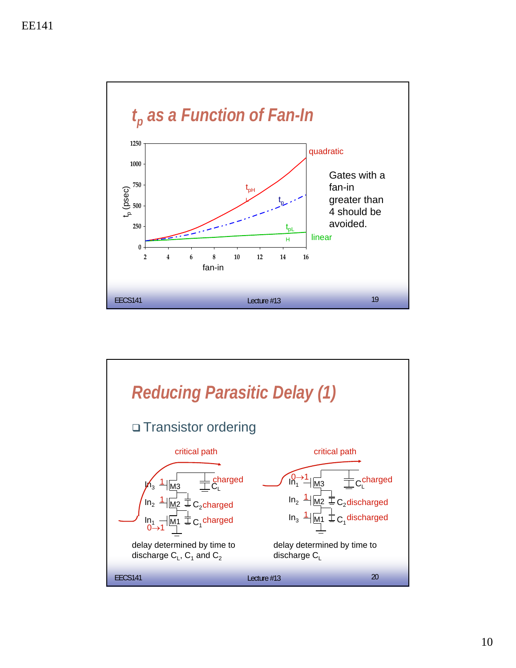

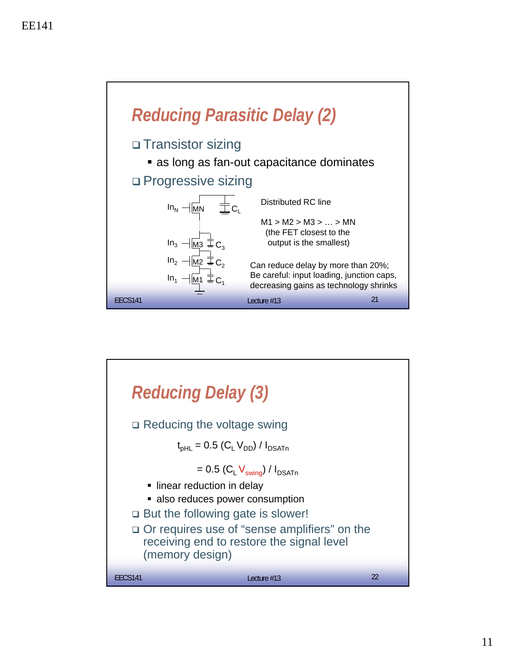

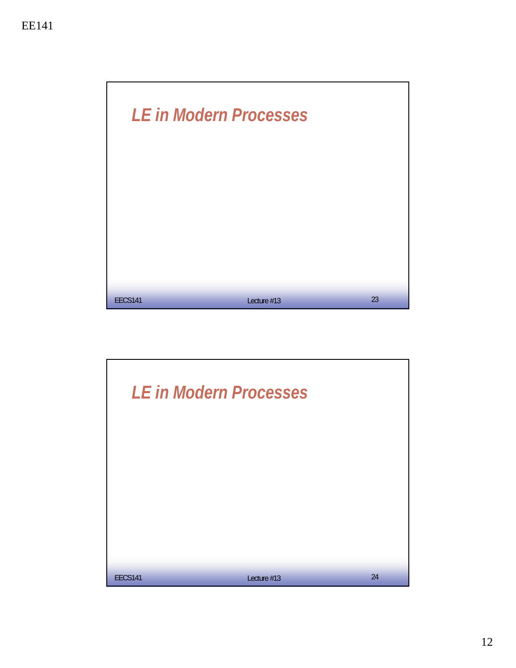